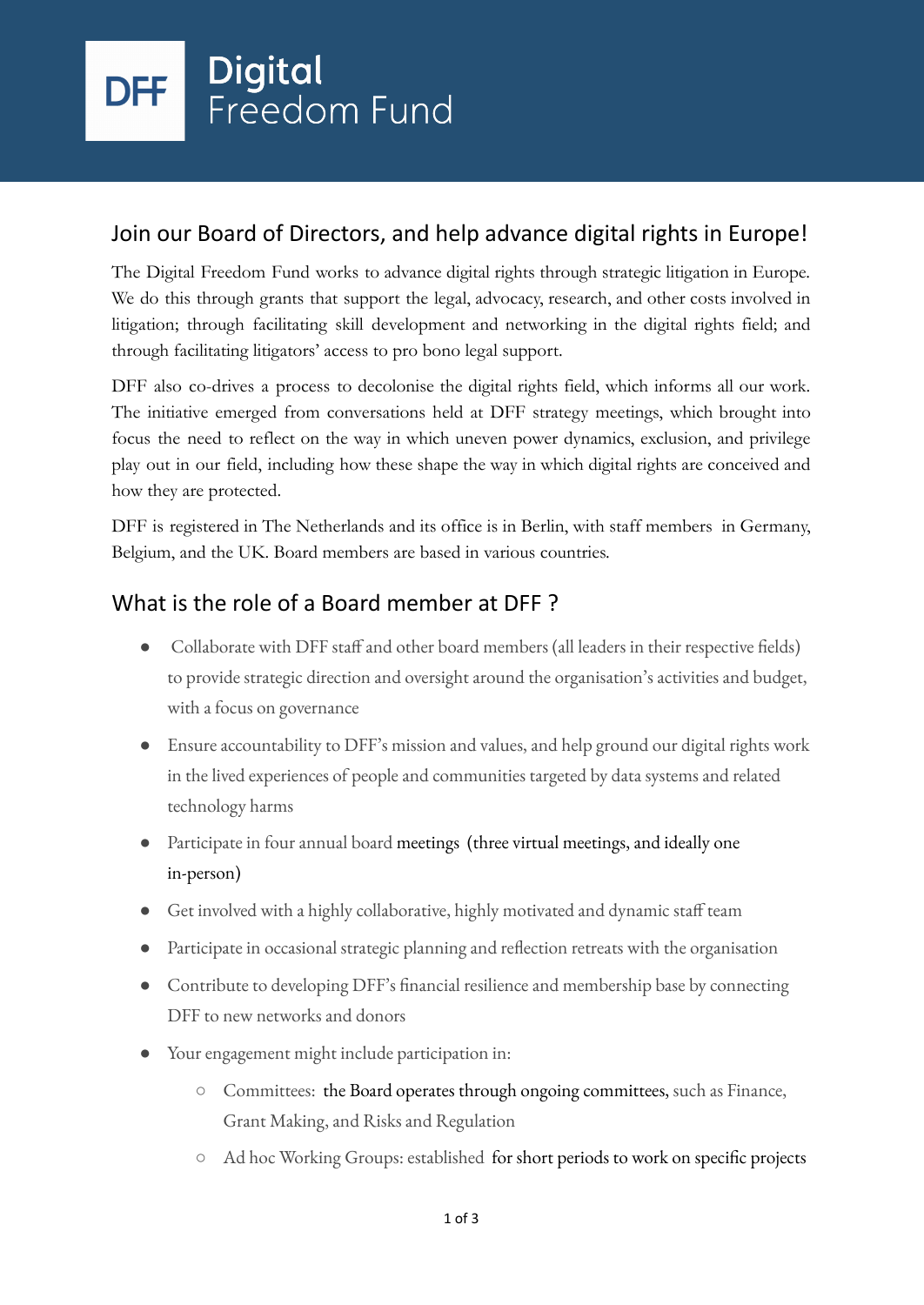# Digital<br>Freedom Fund  $DFF$

#### Join our Board of Directors, and help advance digital rights in Europe!

The Digital Freedom Fund works to advance digital rights through strategic litigation in Europe. We do this through grants that support the legal, advocacy, research, and other costs involved in litigation; through facilitating skill development and networking in the digital rights field; and through facilitating litigators' access to pro bono legal support.

DFF also co-drives a process to decolonise the digital rights field, which informs all our work. The initiative emerged from conversations held at DFF strategy meetings, which brought into focus the need to reflect on the way in which uneven power dynamics, exclusion, and privilege play out in our field, including how these shape the way in which digital rights are conceived and how they are protected.

DFF is registered in The Netherlands and its office is in Berlin, with staff members in Germany, Belgium, and the UK. Board members are based in various countries.

# What is the role of a Board member at DFF ?

- Collaborate with DFF staff and other board members (all leaders in their respective fields) to provide strategic direction and oversight around the organisation's activities and budget, with a focus on governance
- Ensure accountability to DFF's mission and values, and help ground our digital rights work in the lived experiences of people and communities targeted by data systems and related technology harms
- Participate in four annual board meetings (three virtual meetings, and ideally one in-person)
- Get involved with a highly collaborative, highly motivated and dynamic staff team
- Participate in occasional strategic planning and reflection retreats with the organisation
- Contribute to developing DFF's financial resilience and membership base by connecting DFF to new networks and donors
- Your engagement might include participation in:
	- Committees: the Board operates through ongoing committees, such as Finance, Grant Making, and Risks and Regulation
	- Ad hoc Working Groups: established for short periods to work on specific projects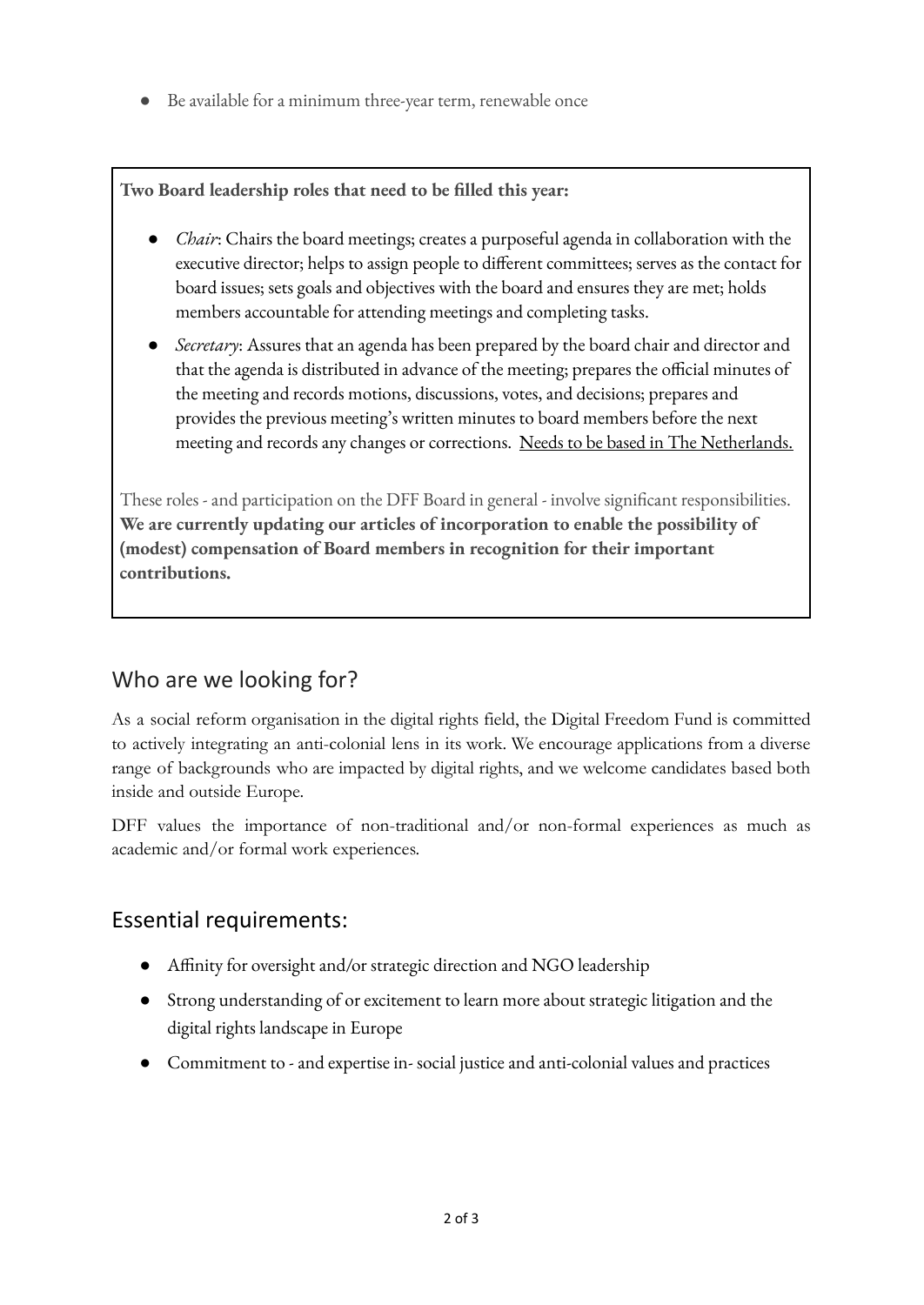Be available for a minimum three-year term, renewable once

**Two Board leadership roles that need to be filled this year:**

- *Chair*: Chairs the board meetings; creates a purposeful agenda in collaboration with the executive director; helps to assign people to different committees; serves as the contact for board issues; sets goals and objectives with the board and ensures they are met; holds members accountable for attending meetings and completing tasks.
- *Secretary*: Assures that an agenda has been prepared by the board chair and director and that the agenda is distributed in advance of the meeting; prepares the official minutes of the meeting and records motions, discussions, votes, and decisions; prepares and provides the previous meeting's written minutes to board members before the next meeting and records any changes or corrections. Needs to be based in The Netherlands.

These roles - and participation on the DFF Board in general - involve significant responsibilities. **We are currently updating our articles of incorporation to enable the possibility of (modest) compensation of Board members in recognition for their important contributions.**

## Who are we looking for?

As a social reform organisation in the digital rights field, the Digital Freedom Fund is committed to actively integrating an anti-colonial lens in its work. We encourage applications from a diverse range of backgrounds who are impacted by digital rights, and we welcome candidates based both inside and outside Europe.

DFF values the importance of non-traditional and/or non-formal experiences as much as academic and/or formal work experiences.

## Essential requirements:

- Affinity for oversight and/or strategic direction and NGO leadership
- Strong understanding of or excitement to learn more about strategic litigation and the digital rights landscape in Europe
- Commitment to and expertise in- social justice and anti-colonial values and practices